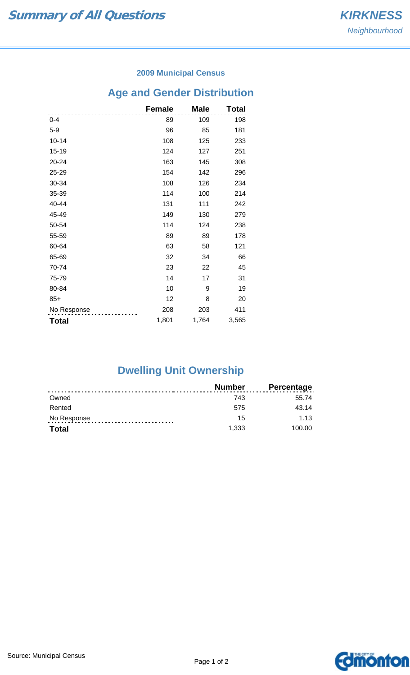#### **2009 Municipal Census**

# **Age and Gender Distribution**

|              | <b>Female</b> | <b>Male</b> | Total |
|--------------|---------------|-------------|-------|
| $0 - 4$      | 89            | 109         | 198   |
| $5-9$        | 96            | 85          | 181   |
| $10 - 14$    | 108           | 125         | 233   |
| $15 - 19$    | 124           | 127         | 251   |
| 20-24        | 163           | 145         | 308   |
| 25-29        | 154           | 142         | 296   |
| 30-34        | 108           | 126         | 234   |
| 35-39        | 114           | 100         | 214   |
| 40-44        | 131           | 111         | 242   |
| 45-49        | 149           | 130         | 279   |
| 50-54        | 114           | 124         | 238   |
| 55-59        | 89            | 89          | 178   |
| 60-64        | 63            | 58          | 121   |
| 65-69        | 32            | 34          | 66    |
| 70-74        | 23            | 22          | 45    |
| 75-79        | 14            | 17          | 31    |
| 80-84        | 10            | 9           | 19    |
| $85+$        | 12            | 8           | 20    |
| No Response  | 208           | 203         | 411   |
| <b>Total</b> | 1,801         | 1,764       | 3,565 |

## **Dwelling Unit Ownership**

|              | Number | Percentage |
|--------------|--------|------------|
| Owned        | 743    | 55.74      |
| Rented       | 575    | 43.14      |
| No Response  | 15     | 1.13       |
| <b>Total</b> | 1,333  | 100.00     |